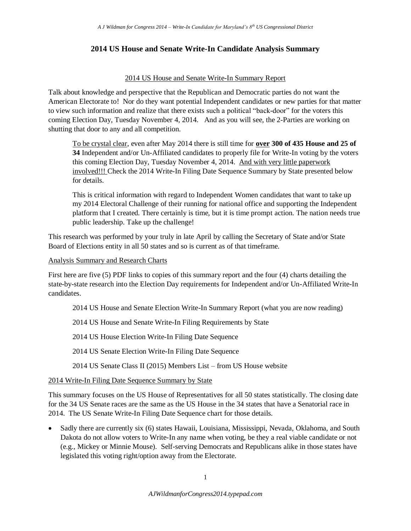## **2014 US House and Senate Write-In Candidate Analysis Summary**

## 2014 US House and Senate Write-In Summary Report

Talk about knowledge and perspective that the Republican and Democratic parties do not want the American Electorate to! Nor do they want potential Independent candidates or new parties for that matter to view such information and realize that there exists such a political "back-door" for the voters this coming Election Day, Tuesday November 4, 2014. And as you will see, the 2-Parties are working on shutting that door to any and all competition.

To be crystal clear, even after May 2014 there is still time for **over 300 of 435 House and 25 of 34** Independent and/or Un-Affiliated candidates to properly file for Write-In voting by the voters this coming Election Day, Tuesday November 4, 2014. And with very little paperwork involved!!! Check the 2014 Write-In Filing Date Sequence Summary by State presented below for details.

This is critical information with regard to Independent Women candidates that want to take up my 2014 Electoral Challenge of their running for national office and supporting the Independent platform that I created. There certainly is time, but it is time prompt action. The nation needs true public leadership. Take up the challenge!

This research was performed by your truly in late April by calling the Secretary of State and/or State Board of Elections entity in all 50 states and so is current as of that timeframe.

## Analysis Summary and Research Charts

First here are five (5) PDF links to copies of this summary report and the four (4) charts detailing the state-by-state research into the Election Day requirements for Independent and/or Un-Affiliated Write-In candidates.

- 2014 US House and Senate Election Write-In Summary Report (what you are now reading)
- 2014 US House and Senate Write-In Filing Requirements by State

2014 US House Election Write-In Filing Date Sequence

2014 US Senate Election Write-In Filing Date Sequence

2014 US Senate Class II (2015) Members List – from US House website

## 2014 Write-In Filing Date Sequence Summary by State

This summary focuses on the US House of Representatives for all 50 states statistically. The closing date for the 34 US Senate races are the same as the US House in the 34 states that have a Senatorial race in 2014. The US Senate Write-In Filing Date Sequence chart for those details.

• Sadly there are currently six (6) states Hawaii, Louisiana, Mississippi, Nevada, Oklahoma, and South Dakota do not allow voters to Write-In any name when voting, be they a real viable candidate or not (e.g., Mickey or Minnie Mouse). Self-serving Democrats and Republicans alike in those states have legislated this voting right/option away from the Electorate.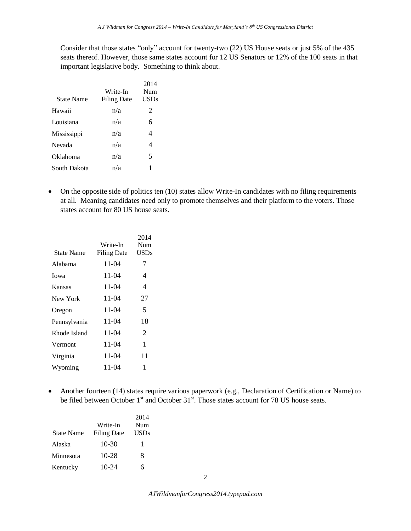Consider that those states "only" account for twenty-two (22) US House seats or just 5% of the 435 seats thereof. However, those same states account for 12 US Senators or 12% of the 100 seats in that important legislative body. Something to think about.

| State Name   | Write-In<br><b>Filing Date</b> | 2014<br>Num<br><b>USDs</b> |
|--------------|--------------------------------|----------------------------|
| Hawaii       | n/a                            | 2                          |
| Louisiana    | n/a                            | 6                          |
| Mississippi  | n/a                            | 4                          |
| Nevada       | n/a                            | 4                          |
| Oklahoma     | n/a                            | 5                          |
| South Dakota | n/a                            |                            |

 On the opposite side of politics ten (10) states allow Write-In candidates with no filing requirements at all. Meaning candidates need only to promote themselves and their platform to the voters. Those states account for 80 US house seats.

|              |                    | 2014        |
|--------------|--------------------|-------------|
|              | Write-In           | Num         |
| State Name   | <b>Filing Date</b> | <b>USDs</b> |
| Alabama      | 11-04              | 7           |
| Iowa         | 11-04              | 4           |
| Kansas       | 11-04              | 4           |
| New York     | 11-04              | 27          |
| Oregon       | 11-04              | 5           |
| Pennsylvania | 11-04              | 18          |
| Rhode Island | 11-04              | 2           |
| Vermont      | 11-04              | 1           |
| Virginia     | 11-04              | 11          |
| Wyoming      | 11-04              | 1           |
|              |                    |             |

• Another fourteen (14) states require various paperwork (e.g., Declaration of Certification or Name) to be filed between October  $1<sup>st</sup>$  and October  $31<sup>st</sup>$ . Those states account for 78 US house seats.

|                   |                    | 2014        |
|-------------------|--------------------|-------------|
|                   | Write-In           | Num         |
| <b>State Name</b> | <b>Filing Date</b> | <b>USDs</b> |
| Alaska            | $10-30$            | T           |
| Minnesota         | 10-28              | 8           |
| Kentucky          | $10-24$            | 6           |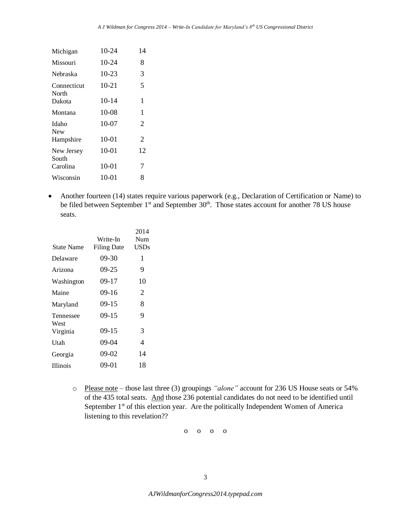| Michigan             | $10 - 24$ | 14 |
|----------------------|-----------|----|
| Missouri             | 10-24     | 8  |
| Nebraska             | $10 - 23$ | 3  |
| Connecticut<br>North | $10 - 21$ | 5  |
| Dakota               | $10 - 14$ | 1  |
| Montana              | $10-08$   | 1  |
| Idaho<br><b>New</b>  | 10-07     | 2  |
| Hampshire            | $10 - 01$ | 2  |
| New Jersey<br>South  | $10 - 01$ | 12 |
| Carolina             | $10-01$   | 7  |
| Wisconsin            | 10-01     | 8  |

• Another fourteen (14) states require various paperwork (e.g., Declaration of Certification or Name) to be filed between September  $1<sup>st</sup>$  and September  $30<sup>th</sup>$ . Those states account for another 78 US house seats.

|                 |                    | 2014        |
|-----------------|--------------------|-------------|
|                 | Write-In           | Num         |
| State Name      | <b>Filing Date</b> | <b>USDs</b> |
| Delaware        | $09-30$            | 1           |
| Arizona         | $09-25$            | 9           |
| Washington      | 09-17              | 10          |
| Maine           | 09-16              | 2           |
| Maryland        | $09-15$            | 8           |
| Tennessee       | $09-15$            | 9           |
| West            |                    |             |
| Virginia        | $09-15$            | 3           |
| Utah            | $09-04$            | 4           |
| Georgia         | $09-02$            | 14          |
| <b>Illinois</b> | 09-01              | 18          |
|                 |                    |             |

o Please note – those last three (3) groupings *"alone"* account for 236 US House seats or 54% of the 435 total seats. And those 236 potential candidates do not need to be identified until September  $1<sup>st</sup>$  of this election year. Are the politically Independent Women of America listening to this revelation??

o o o o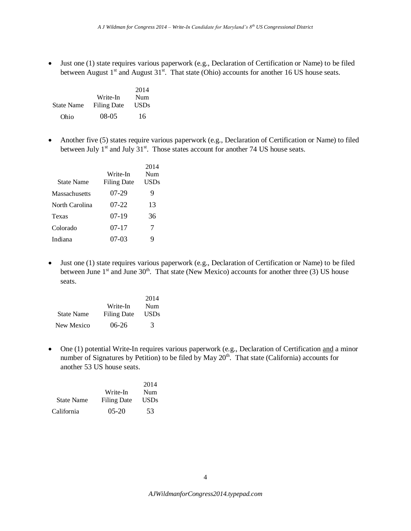Just one (1) state requires various paperwork (e.g., Declaration of Certification or Name) to be filed between August  $1<sup>st</sup>$  and August  $31<sup>st</sup>$ . That state (Ohio) accounts for another 16 US house seats.

|                   |                    | 2014        |
|-------------------|--------------------|-------------|
|                   | Write-In           | Num         |
| <b>State Name</b> | <b>Filing Date</b> | <b>USDs</b> |
| Ohio              | 08-05              | 16          |

 Another five (5) states require various paperwork (e.g., Declaration of Certification or Name) to filed between July  $1<sup>st</sup>$  and July  $31<sup>st</sup>$ . Those states account for another 74 US house seats.

|                      |                    | 2014   |
|----------------------|--------------------|--------|
|                      | Write-In           | Num    |
| <b>State Name</b>    | <b>Filing Date</b> | USDs   |
| <b>Massachusetts</b> | 07-29              | 9      |
| North Carolina       | 07-22              | 13     |
| Texas                | 07-19              | 36     |
| Colorado             | $07-17$            | $\tau$ |
| Indiana              | 07-03              | 9      |

 Just one (1) state requires various paperwork (e.g., Declaration of Certification or Name) to be filed between June  $1<sup>st</sup>$  and June  $30<sup>th</sup>$ . That state (New Mexico) accounts for another three (3) US house seats.

|                   |                    | 2014          |
|-------------------|--------------------|---------------|
|                   | Write-In           | Num           |
| <b>State Name</b> | <b>Filing Date</b> | <b>USDs</b>   |
| New Mexico        | $06-26$            | $\mathcal{R}$ |

 One (1) potential Write-In requires various paperwork (e.g., Declaration of Certification and a minor number of Signatures by Petition) to be filed by May  $20<sup>th</sup>$ . That state (California) accounts for another 53 US house seats.

|                   |                    | 2014 |
|-------------------|--------------------|------|
|                   | Write-In           | Num  |
| <b>State Name</b> | <b>Filing Date</b> | USDs |
| California        | $05-20$            | 53   |